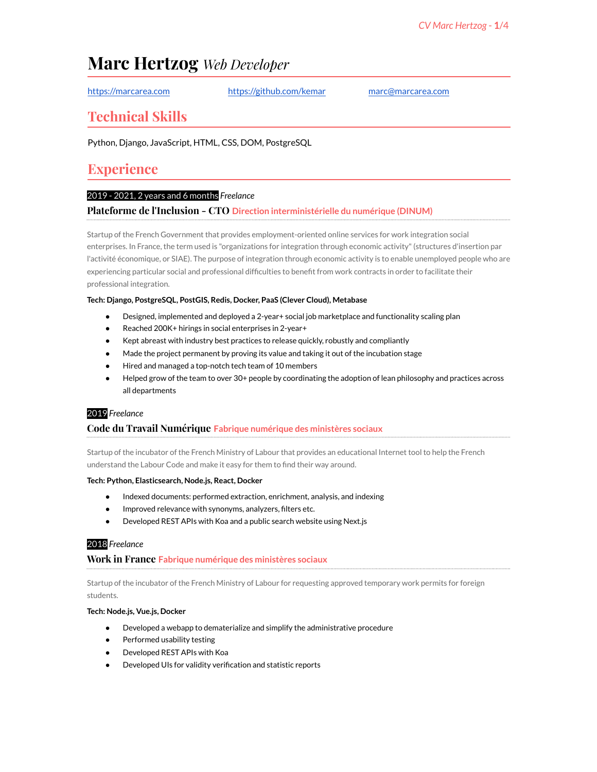# **Marc Hertzog** *Web Developer*

<https://marcarea.com> <https://github.com/kemar> [marc@marcarea.com](mailto:marc@marcarea.com)

## **Technical Skills**

Python, Django, JavaScript, HTML, CSS, DOM, PostgreSQL

# **Experience**

## 2019 - 2021, 2 years and 6 months *Freelance*

### **Plateforme de l'Inclusion - CTO Direction interministérielle du numérique (DINUM)**

Startup of the French Government that provides employment-oriented online services for work integration social enterprises. In France, the term used is "organizations for integration through economic activity"(structures d'insertion par l'activité économique, or SIAE). The purpose of integration through economic activity is to enable unemployed people who are experiencing particular social and professional difficulties to benefit from work contracts in order to facilitate their professional integration.

### **Tech: Django, PostgreSQL, PostGIS, Redis, Docker, PaaS (Clever Cloud), Metabase**

- Designed, implemented and deployed a 2-year+ social job marketplace and functionality scaling plan
- Reached 200K+ hirings in social enterprises in 2-year+
- Kept abreast with industry best practices to release quickly, robustly and compliantly
- Made the project permanent by proving its value and taking it out of the incubation stage
- Hired and managed a top-notch tech team of 10 members
- Helped grow of the team to over 30+ people by coordinating the adoption of lean philosophy and practices across all departments

### 2019 *Freelance*

## **Code du Travail Numérique Fabrique numérique des ministères sociaux**

Startup of the incubator of the French Ministry of Labour that provides an educational Internet tool to help the French understand the Labour Code and make it easy for them to find their way around.

#### **Tech: Python, Elasticsearch, Node.js, React, Docker**

- Indexed documents: performed extraction, enrichment, analysis, and indexing
- Improved relevance with synonyms, analyzers, filters etc.
- Developed REST APIs with Koa and a public search website using Next.js

## 2018 *Freelance*

### **Work in France Fabrique numérique des ministères sociaux**

Startup of the incubator of the French Ministry of Labour for requesting approved temporary work permits for foreign students.

#### **Tech: Node.js, Vue.js, Docker**

- Developed a webapp to dematerialize and simplify the administrative procedure
- Performed usability testing
- Developed REST APIs with Koa
- Developed UIs for validity verification and statistic reports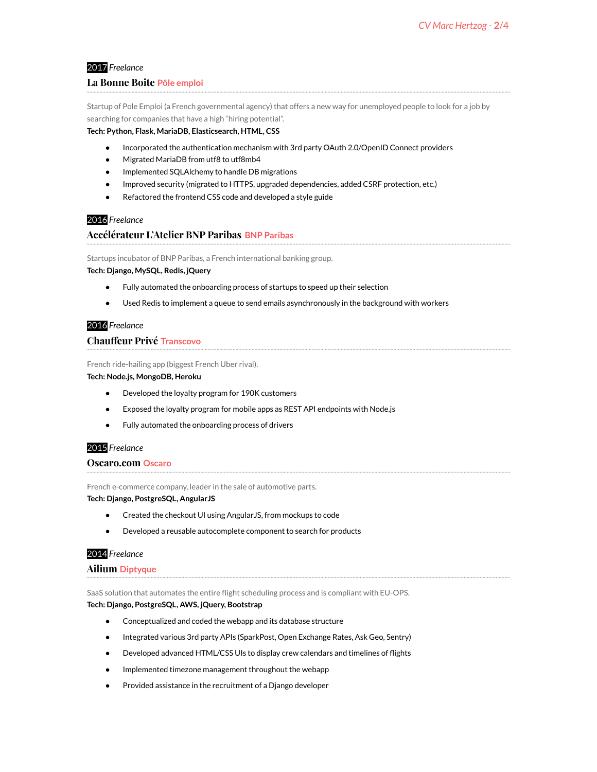## 2017 *Freelance*

### **La Bonne Boite Pôle emploi**

Startup of Pole Emploi (a French governmental agency) that offers a new way for unemployed people to look for a job by searching for companies that have a high "hiring potential".

#### **Tech: Python, Flask, MariaDB, Elasticsearch, HTML, CSS**

- Incorporated the authentication mechanism with 3rd party OAuth 2.0/OpenID Connect providers
- Migrated MariaDB from utf8 to utf8mb4
- Implemented SQLAIchemy to handle DB migrations
- Improved security (migrated to HTTPS, upgraded dependencies, added CSRF protection, etc.)
- Refactored the frontend CSS code and developed a style guide

## 2016 *Freelance*

### **Accélérateur L'Atelier BNP Paribas BNP Paribas**

Startups incubator of BNP Paribas, a French international banking group.

**Tech: Django, MySQL, Redis, jQuery**

- Fully automated the onboarding process of startups to speed up their selection
- Used Redis to implement a queue to send emails asynchronously in the background with workers

### 2016 *Freelance*

### **Chauffeur Privé Transcovo**

French ride-hailing app (biggest French Uber rival).

#### **Tech: Node.js, MongoDB, Heroku**

- Developed the loyalty program for 190K customers
- Exposed the loyalty program for mobile apps as REST API endpoints with Node.js
- Fully automated the onboarding process of drivers

## 2015 *Freelance*

#### **Oscaro.com Oscaro**

French e-commerce company, leader in the sale of automotive parts.

#### **Tech: Django, PostgreSQL, AngularJS**

- Created the checkout UI using AngularJS, from mockups to code
- Developed a reusable autocomplete component to search for products

#### 2014 *Freelance*

#### **Ailium Diptyque**

SaaS solution that automates the entire flight scheduling process and is compliant with EU-OPS. **Tech: Django, PostgreSQL, AWS, jQuery, Bootstrap**

- Conceptualized and coded the webapp and its database structure
- Integrated various 3rd party APIs (SparkPost, Open Exchange Rates, Ask Geo, Sentry)
- Developed advanced HTML/CSS UIs to display crew calendars and timelines of flights
- Implemented timezone management throughout the webapp
- Provided assistance in the recruitment of a Django developer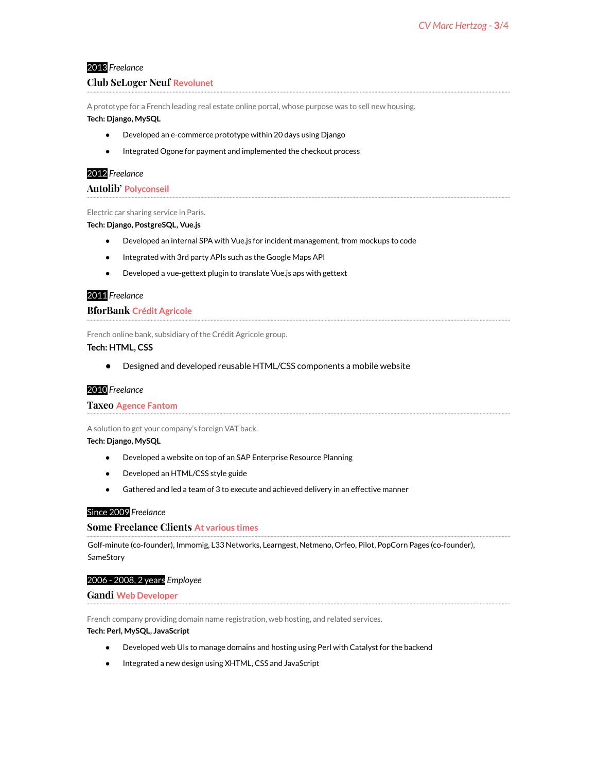## 2013 *Freelance*

## **Club SeLoger Neuf Revolunet**

A prototype for a French leading real estate online portal, whose purpose was to sell new housing. **Tech: Django, MySQL**

## ● Developed an e-commerce prototype within 20 days using Django

● Integrated Ogone for payment and implemented the checkout process

## 2012 *Freelance*

**Autolib' Polyconseil**

#### Electric car sharing service in Paris.

**Tech: Django, PostgreSQL, Vue.js**

- Developed an internal SPA with Vue.js for incident management, from mockups to code
- Integrated with 3rd party APIs such as the Google Maps API
- Developed a vue-gettext plugin to translate Vue.js aps with gettext

## 2011 *Freelance*

## **BforBank Crédit Agricole**

French online bank, subsidiary of the Crédit Agricole group.

## **Tech: HTML, CSS**

● Designed and developed reusable HTML/CSS components a mobile website

### 2010 *Freelance*

#### **Taxeo Agence Fantom**

A solution to get your company's foreign VAT back.

#### **Tech: Django, MySQL**

- Developed a website on top of an SAP Enterprise Resource Planning
- Developed an HTML/CSS style guide
- Gathered and led a team of 3 to execute and achieved delivery in an effective manner

## Since 2009 *Freelance*

### **Some Freelance Clients At various times**

Golf-minute (co-founder), Immomig, L33 Networks, Learngest, Netmeno, Orfeo, Pilot, PopCorn Pages (co-founder), **SameStory** 

#### 2006 - 2008, 2 years *Employee*

### **Gandi Web Developer**

French company providing domain name registration, web hosting, and related services.

#### **Tech: Perl, MySQL, JavaScript**

- Developed web UIs to manage domains and hosting using Perl with Catalyst for the backend
- Integrated a new design using XHTML, CSS and JavaScript